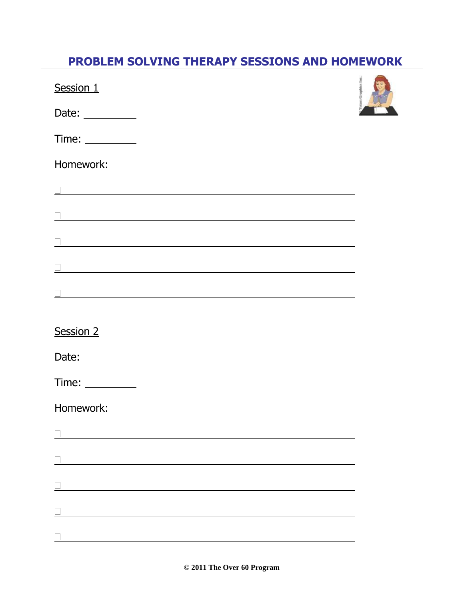## **PROBLEM SOLVING THERAPY SESSIONS AND HOMEWORK**

| Session 1                                                                 |  | <b>Toten Graphics Inc.</b> |
|---------------------------------------------------------------------------|--|----------------------------|
| Date: $\_\_$                                                              |  |                            |
|                                                                           |  |                            |
| Homework:                                                                 |  |                            |
|                                                                           |  |                            |
|                                                                           |  |                            |
|                                                                           |  |                            |
|                                                                           |  |                            |
|                                                                           |  |                            |
| Session 2                                                                 |  |                            |
| Date: $\_\_$                                                              |  |                            |
| Time: $\frac{1}{\sqrt{1-\frac{1}{2}}\cdot\frac{1}{\sqrt{1-\frac{1}{2}}}}$ |  |                            |
| Homework:                                                                 |  |                            |
|                                                                           |  |                            |
|                                                                           |  |                            |
|                                                                           |  |                            |
|                                                                           |  |                            |
|                                                                           |  |                            |

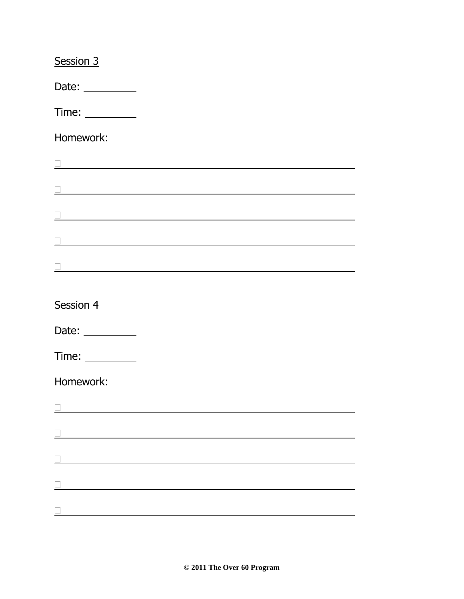| Session 3                                                                                                                                                                                                                                                                                                                                                                                                     |                                                               |  |  |
|---------------------------------------------------------------------------------------------------------------------------------------------------------------------------------------------------------------------------------------------------------------------------------------------------------------------------------------------------------------------------------------------------------------|---------------------------------------------------------------|--|--|
| Date: $\_\_$                                                                                                                                                                                                                                                                                                                                                                                                  |                                                               |  |  |
|                                                                                                                                                                                                                                                                                                                                                                                                               |                                                               |  |  |
| Homework:                                                                                                                                                                                                                                                                                                                                                                                                     |                                                               |  |  |
| <u> 1989 - Andrea Barbara, Amerikaansk politiker († 1908)</u>                                                                                                                                                                                                                                                                                                                                                 |                                                               |  |  |
| <u> 1989 - Johann Barn, amerikan besteman besteman besteman besteman besteman besteman besteman besteman besteman</u>                                                                                                                                                                                                                                                                                         |                                                               |  |  |
|                                                                                                                                                                                                                                                                                                                                                                                                               |                                                               |  |  |
| <u> 1989 - Johann John Stoff, deutscher Stoffen und der Stoffen und der Stoffen und der Stoffen und der Stoffen</u>                                                                                                                                                                                                                                                                                           |                                                               |  |  |
|                                                                                                                                                                                                                                                                                                                                                                                                               |                                                               |  |  |
|                                                                                                                                                                                                                                                                                                                                                                                                               |                                                               |  |  |
| Session 4                                                                                                                                                                                                                                                                                                                                                                                                     |                                                               |  |  |
| Date: $\frac{1}{\sqrt{1-\frac{1}{2}}\cdot\frac{1}{2}}$                                                                                                                                                                                                                                                                                                                                                        |                                                               |  |  |
| Time: $\frac{1}{\sqrt{1-\frac{1}{2}}\sqrt{1-\frac{1}{2}}\sqrt{1-\frac{1}{2}}\sqrt{1-\frac{1}{2}}\sqrt{1-\frac{1}{2}}\sqrt{1-\frac{1}{2}}\sqrt{1-\frac{1}{2}}\sqrt{1-\frac{1}{2}}\sqrt{1-\frac{1}{2}}\sqrt{1-\frac{1}{2}}\sqrt{1-\frac{1}{2}}\sqrt{1-\frac{1}{2}}\sqrt{1-\frac{1}{2}}\sqrt{1-\frac{1}{2}}\sqrt{1-\frac{1}{2}}\sqrt{1-\frac{1}{2}}\sqrt{1-\frac{1}{2}}\sqrt{1-\frac{1}{2}}\sqrt{1-\frac{1}{2}}$ |                                                               |  |  |
| Homework:                                                                                                                                                                                                                                                                                                                                                                                                     |                                                               |  |  |
|                                                                                                                                                                                                                                                                                                                                                                                                               |                                                               |  |  |
|                                                                                                                                                                                                                                                                                                                                                                                                               |                                                               |  |  |
|                                                                                                                                                                                                                                                                                                                                                                                                               | <u> 1980 - Johann Barn, mars an t-Amerikaansk kommunist (</u> |  |  |
|                                                                                                                                                                                                                                                                                                                                                                                                               |                                                               |  |  |
|                                                                                                                                                                                                                                                                                                                                                                                                               |                                                               |  |  |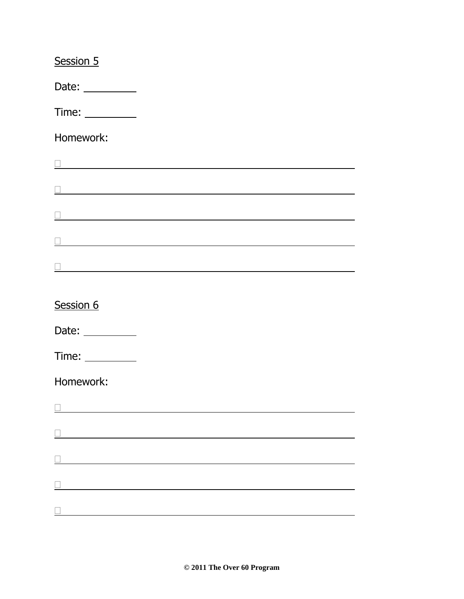| Session 5                                                                                                                                                                                                                                                                                                                                                                                                     |                                                                 |  |  |
|---------------------------------------------------------------------------------------------------------------------------------------------------------------------------------------------------------------------------------------------------------------------------------------------------------------------------------------------------------------------------------------------------------------|-----------------------------------------------------------------|--|--|
| Date: $\_\_$                                                                                                                                                                                                                                                                                                                                                                                                  |                                                                 |  |  |
|                                                                                                                                                                                                                                                                                                                                                                                                               |                                                                 |  |  |
| Homework:                                                                                                                                                                                                                                                                                                                                                                                                     |                                                                 |  |  |
| <u> 1989 - Andrea Barbara, Amerikaansk politiker († 1908)</u>                                                                                                                                                                                                                                                                                                                                                 |                                                                 |  |  |
| <u> 1989 - Johann Barn, amerikan besteman besteman besteman besteman besteman besteman besteman besteman besteman</u>                                                                                                                                                                                                                                                                                         |                                                                 |  |  |
|                                                                                                                                                                                                                                                                                                                                                                                                               |                                                                 |  |  |
| <u> 1989 - Johann Stein, marwolaethau a bhann an t-Amhair an t-Amhair an t-Amhair an t-Amhair an t-Amhair an t-A</u>                                                                                                                                                                                                                                                                                          |                                                                 |  |  |
|                                                                                                                                                                                                                                                                                                                                                                                                               |                                                                 |  |  |
|                                                                                                                                                                                                                                                                                                                                                                                                               |                                                                 |  |  |
| Session 6                                                                                                                                                                                                                                                                                                                                                                                                     |                                                                 |  |  |
| Date: __________                                                                                                                                                                                                                                                                                                                                                                                              |                                                                 |  |  |
| Time: $\frac{1}{\sqrt{1-\frac{1}{2}}\sqrt{1-\frac{1}{2}}\sqrt{1-\frac{1}{2}}\sqrt{1-\frac{1}{2}}\sqrt{1-\frac{1}{2}}\sqrt{1-\frac{1}{2}}\sqrt{1-\frac{1}{2}}\sqrt{1-\frac{1}{2}}\sqrt{1-\frac{1}{2}}\sqrt{1-\frac{1}{2}}\sqrt{1-\frac{1}{2}}\sqrt{1-\frac{1}{2}}\sqrt{1-\frac{1}{2}}\sqrt{1-\frac{1}{2}}\sqrt{1-\frac{1}{2}}\sqrt{1-\frac{1}{2}}\sqrt{1-\frac{1}{2}}\sqrt{1-\frac{1}{2}}\sqrt{1-\frac{1}{2}}$ |                                                                 |  |  |
| Homework:                                                                                                                                                                                                                                                                                                                                                                                                     |                                                                 |  |  |
|                                                                                                                                                                                                                                                                                                                                                                                                               |                                                                 |  |  |
|                                                                                                                                                                                                                                                                                                                                                                                                               |                                                                 |  |  |
|                                                                                                                                                                                                                                                                                                                                                                                                               | <u> 1980 - Johann Barn, mars an t-Amerikaansk kommunister (</u> |  |  |
|                                                                                                                                                                                                                                                                                                                                                                                                               |                                                                 |  |  |
|                                                                                                                                                                                                                                                                                                                                                                                                               |                                                                 |  |  |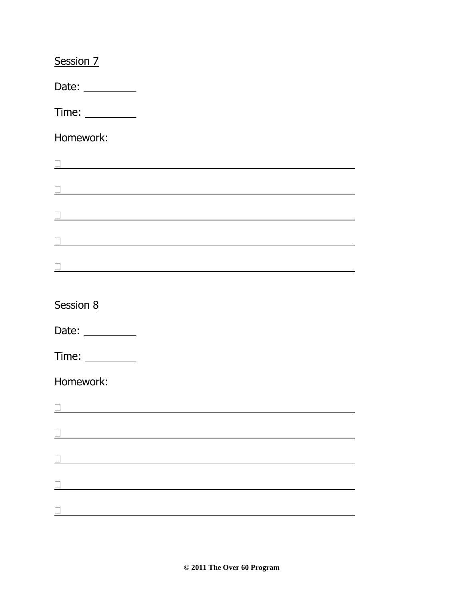| Session 7                                                                                                             |  |  |
|-----------------------------------------------------------------------------------------------------------------------|--|--|
| Date: $\_\_$                                                                                                          |  |  |
|                                                                                                                       |  |  |
| Homework:                                                                                                             |  |  |
| <u> 1989 - Johann Stoff, deutscher Stoff, der Stoff, der Stoff, der Stoff, der Stoff, der Stoff, der Stoff, der S</u> |  |  |
| <u> 1989 - Johann Barn, amerikan besteman besteman besteman besteman besteman besteman besteman besteman besteman</u> |  |  |
|                                                                                                                       |  |  |
|                                                                                                                       |  |  |
|                                                                                                                       |  |  |
| Session 8                                                                                                             |  |  |
| Date: $\frac{1}{\sqrt{1-\frac{1}{2}}\cdot\frac{1}{2}}$                                                                |  |  |
| Time: $\_\_$                                                                                                          |  |  |
| Homework:                                                                                                             |  |  |
|                                                                                                                       |  |  |
|                                                                                                                       |  |  |
| <u> 1988 - Andrea Stadt Britain, amerikansk politik (</u>                                                             |  |  |
|                                                                                                                       |  |  |
|                                                                                                                       |  |  |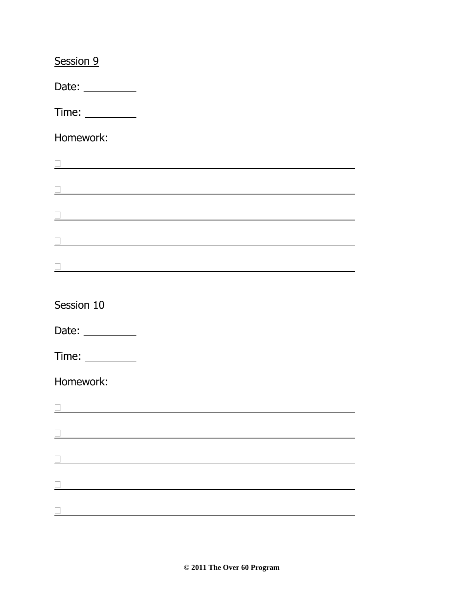| Session 9                                                                                                              |  |  |
|------------------------------------------------------------------------------------------------------------------------|--|--|
| Date: $\_\_$                                                                                                           |  |  |
|                                                                                                                        |  |  |
| Homework:                                                                                                              |  |  |
| <u> 1980 - Johann Barn, mars ann an t-Amhain Aonaich an t-Aonaich an t-Aonaich an t-Aonaich an t-Aonaich an t-Aon</u>  |  |  |
|                                                                                                                        |  |  |
|                                                                                                                        |  |  |
| <u> 1989 - Johann Stoff, deutscher Stoffen und der Stoffen und der Stoffen und der Stoffen und der Stoffen und der</u> |  |  |
|                                                                                                                        |  |  |
|                                                                                                                        |  |  |
| Session 10                                                                                                             |  |  |
| Date: __________                                                                                                       |  |  |
|                                                                                                                        |  |  |
| Homework:                                                                                                              |  |  |
|                                                                                                                        |  |  |
|                                                                                                                        |  |  |
| <u> 1980 - Johann Barn, mars ann an t-Amhain Aonaich an t-Aonaich an t-Aonaich ann an t-Aonaich ann an t-Aonaich</u>   |  |  |
|                                                                                                                        |  |  |
|                                                                                                                        |  |  |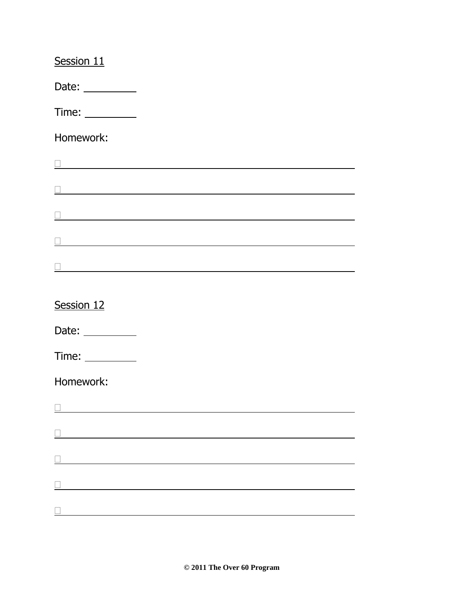| Session 11                                                                                                                                                                                                                           |  |  |
|--------------------------------------------------------------------------------------------------------------------------------------------------------------------------------------------------------------------------------------|--|--|
| Date: $\_\_$                                                                                                                                                                                                                         |  |  |
|                                                                                                                                                                                                                                      |  |  |
| Homework:                                                                                                                                                                                                                            |  |  |
|                                                                                                                                                                                                                                      |  |  |
| and the control of the control of the control of the control of the control of the control of the control of the                                                                                                                     |  |  |
| <u>and the state of the state of the state of the state of the state of the state of the state of the state of the state of the state of the state of the state of the state of the state of the state of the state of the state</u> |  |  |
| <u> 1989 - Johann Harry Barn, mars ar breist fan de Fryske kommunent fan de Fryske kommunent fan de Fryske kommun</u>                                                                                                                |  |  |
|                                                                                                                                                                                                                                      |  |  |
| Session 12                                                                                                                                                                                                                           |  |  |
|                                                                                                                                                                                                                                      |  |  |
|                                                                                                                                                                                                                                      |  |  |
| Homework:                                                                                                                                                                                                                            |  |  |
| <u> 1980 - Johann Barn, mars an t-Amerikaansk kommunister (</u>                                                                                                                                                                      |  |  |
| <u> 1980 - Johann Barbara, martin amerikan basar da</u>                                                                                                                                                                              |  |  |
|                                                                                                                                                                                                                                      |  |  |
| <u> 1980 - Johann Barn, mars an t-Amerikaansk kommunister (</u>                                                                                                                                                                      |  |  |
|                                                                                                                                                                                                                                      |  |  |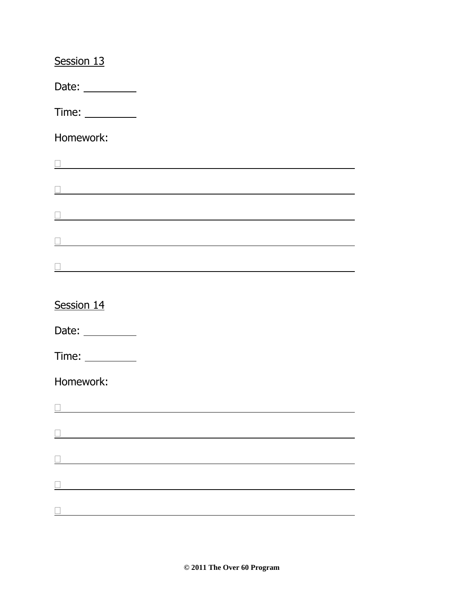| Session 13                                                    |                                                   |  |  |
|---------------------------------------------------------------|---------------------------------------------------|--|--|
| Date: $\_\_$                                                  |                                                   |  |  |
|                                                               |                                                   |  |  |
| Homework:                                                     |                                                   |  |  |
|                                                               |                                                   |  |  |
|                                                               |                                                   |  |  |
| <u> 1980 - Johann John Stone, meil in der Stone (d. 1980)</u> |                                                   |  |  |
|                                                               |                                                   |  |  |
|                                                               | <u> 1980 - Johann Barbara, martxa alemaniar a</u> |  |  |
|                                                               |                                                   |  |  |
| Session 14                                                    |                                                   |  |  |
| Date: __________                                              |                                                   |  |  |
|                                                               |                                                   |  |  |
| Homework:                                                     |                                                   |  |  |
|                                                               |                                                   |  |  |
| <u> 1980 - Johann Barbara, martin amerikan personal (</u>     |                                                   |  |  |
|                                                               |                                                   |  |  |
|                                                               |                                                   |  |  |
|                                                               |                                                   |  |  |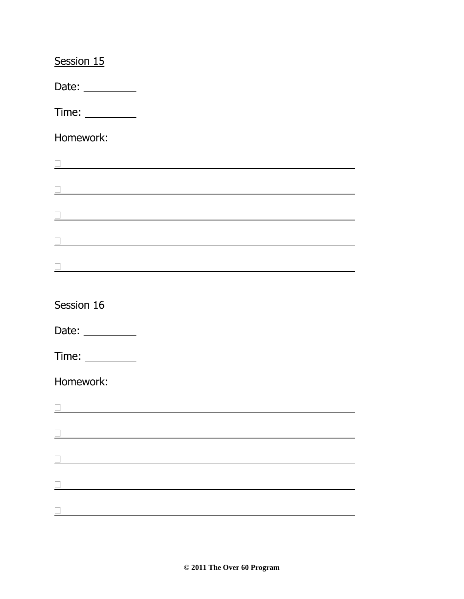| Session 15                                                                                                          |                                                   |  |  |
|---------------------------------------------------------------------------------------------------------------------|---------------------------------------------------|--|--|
| Date: $\_\_$                                                                                                        |                                                   |  |  |
|                                                                                                                     |                                                   |  |  |
| Homework:                                                                                                           |                                                   |  |  |
|                                                                                                                     |                                                   |  |  |
|                                                                                                                     |                                                   |  |  |
| <u> 1980 - Jan Samuel Barbara, martin din shekara 1980 - Ang Pangalang Barbara ng Barbara ng Barbara ng Barbara</u> |                                                   |  |  |
| <u> 1989 - Johann Barbara, martxa amerikan personal (h. 1989).</u>                                                  |                                                   |  |  |
|                                                                                                                     | <u> 1980 - Johann Barbara, martxa alemaniar a</u> |  |  |
|                                                                                                                     |                                                   |  |  |
| Session 16                                                                                                          |                                                   |  |  |
| Date: __________                                                                                                    |                                                   |  |  |
|                                                                                                                     |                                                   |  |  |
| Homework:                                                                                                           |                                                   |  |  |
|                                                                                                                     |                                                   |  |  |
| <u> 1980 - Johann Barbara, martin amerikan personal (</u>                                                           |                                                   |  |  |
|                                                                                                                     |                                                   |  |  |
|                                                                                                                     |                                                   |  |  |
|                                                                                                                     |                                                   |  |  |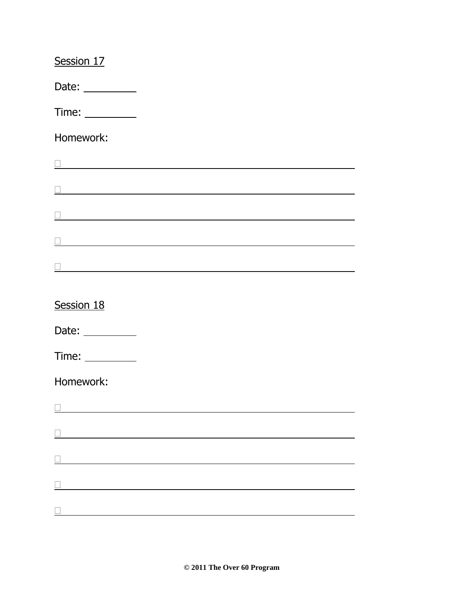| Session 17                                                      |  |  |
|-----------------------------------------------------------------|--|--|
| Date: $\_\_$                                                    |  |  |
|                                                                 |  |  |
| Homework:                                                       |  |  |
|                                                                 |  |  |
|                                                                 |  |  |
|                                                                 |  |  |
|                                                                 |  |  |
|                                                                 |  |  |
| Session 18                                                      |  |  |
|                                                                 |  |  |
| Time: $\_\_$                                                    |  |  |
| Homework:                                                       |  |  |
|                                                                 |  |  |
| <u> 1980 - Johann Barbara, martin amerikan basar da</u>         |  |  |
|                                                                 |  |  |
| <u> 1980 - Johann Barn, mars an t-Amerikaansk kommunister (</u> |  |  |
|                                                                 |  |  |